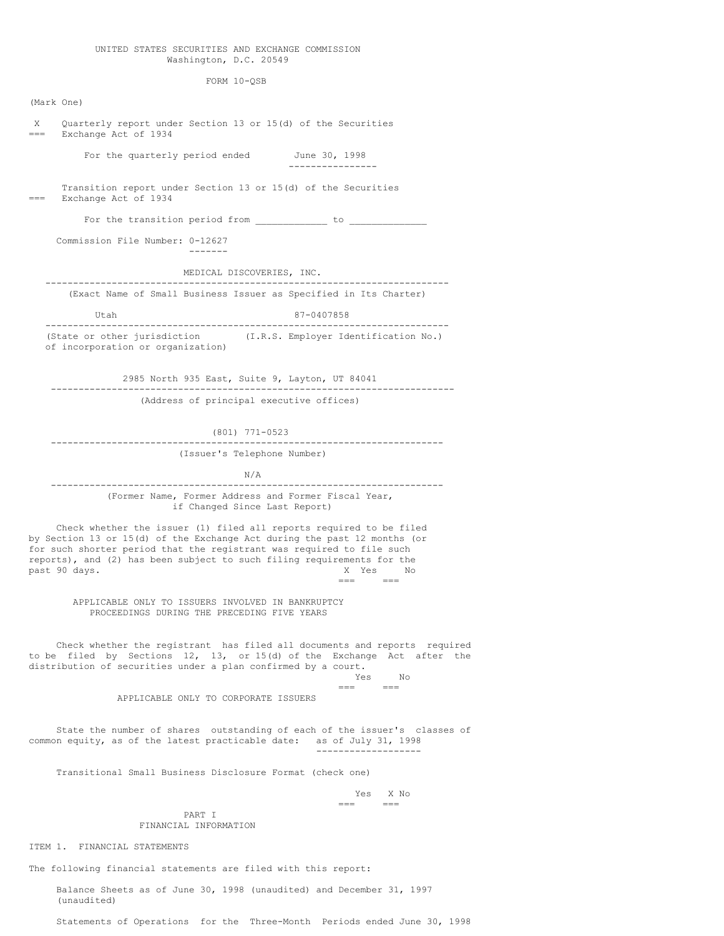### UNITED STATES SECURITIES AND EXCHANGE COMMISSION Washington, D.C. 20549

FORM 10-QSB

(Mark One) X Quarterly report under Section 13 or 15(d) of the Securities === Exchange Act of 1934 For the quarterly period ended June 30, 1998 ---------------- Transition report under Section 13 or 15(d) of the Securities === Exchange Act of 1934 For the transition period from  $\frac{\ }{\ }$   $\frac{\ }{\ }$  to  $\frac{\ }{\ }$ Commission File Number: 0-12627 ------- MEDICAL DISCOVERIES, INC. ------------------------------------------------------------------------- (Exact Name of Small Business Issuer as Specified in Its Charter) Utah 87-0407858 ------------------------------------------------------------------------- (State or other jurisdiction (I.R.S. Employer Identification No.) of incorporation or organization) 2985 North 935 East, Suite 9, Layton, UT 84041 ------------------------------------------------------------------------- (Address of principal executive offices) (801) 771-0523 ----------------------------------------------------------------------- (Issuer's Telephone Number) N/A ----------------------------------------------------------------------- (Former Name, Former Address and Former Fiscal Year, if Changed Since Last Report) Check whether the issuer (1) filed all reports required to be filed by Section 13 or 15(d) of the Exchange Act during the past 12 months (or for such shorter period that the registrant was required to file such reports), and (2) has been subject to such filing requirements for the past 90 days.  $x$  Yes No past 90 days. X Yes No  $=$ APPLICABLE ONLY TO ISSUERS INVOLVED IN BANKRUPTCY PROCEEDINGS DURING THE PRECEDING FIVE YEARS Check whether the registrant has filed all documents and reports required to be filed by Sections 12, 13, or 15(d) of the Exchange Act after the distribution of securities under a plan confirmed by a court. Yes No  $=$ APPLICABLE ONLY TO CORPORATE ISSUERS State the number of shares outstanding of each of the issuer's classes of common equity, as of the latest practicable date: as of July 31, 1998 ------------------- Transitional Small Business Disclosure Format (check one) Yes X No  $=$ PART I

FINANCIAL INFORMATION

ITEM 1. FINANCIAL STATEMENTS

The following financial statements are filed with this report:

Balance Sheets as of June 30, 1998 (unaudited) and December 31, 1997 (unaudited)

Statements of Operations for the Three-Month Periods ended June 30, 1998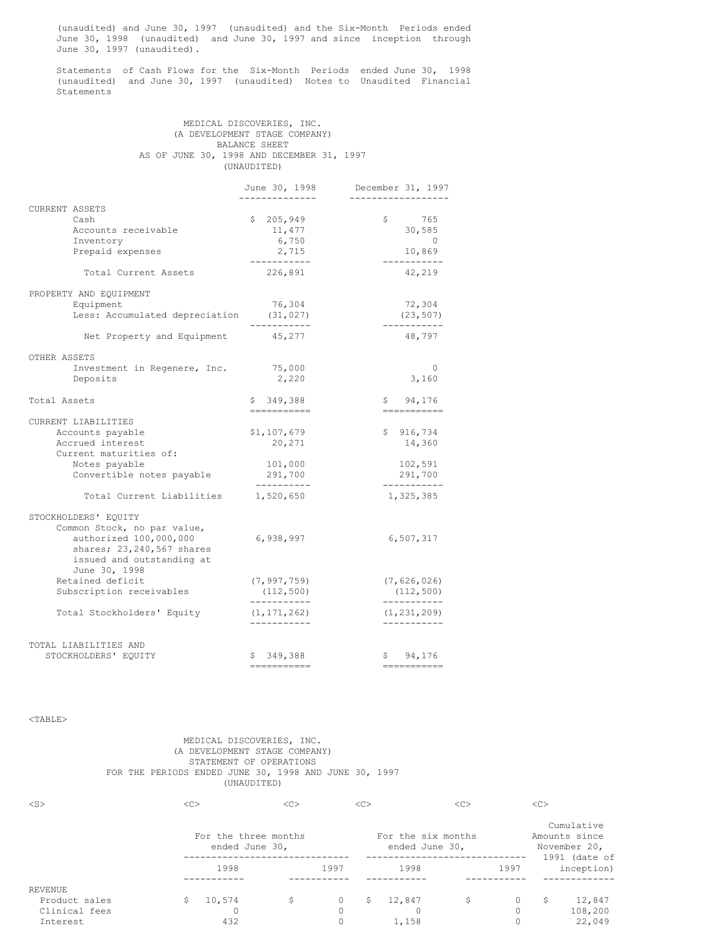(unaudited) and June 30, 1997 (unaudited) and the Six-Month Periods ended June 30, 1998 (unaudited) and June 30, 1997 and since inception through June 30, 1997 (unaudited).

Statements of Cash Flows for the Six-Month Periods ended June 30, 1998 (unaudited) and June 30, 1997 (unaudited) Notes to Unaudited Financial Statements

# MEDICAL DISCOVERIES, INC. (A DEVELOPMENT STAGE COMPANY) BALANCE SHEET AS OF JUNE 30, 1998 AND DECEMBER 31, 1997 (UNAUDITED)

|                                                                                                                                         | June 30, 1998                | December 31, 1997            |
|-----------------------------------------------------------------------------------------------------------------------------------------|------------------------------|------------------------------|
| CURRENT ASSETS<br>Cash                                                                                                                  | \$205,949                    | \$<br>765                    |
| Accounts receivable                                                                                                                     | 11,477                       | 30,585                       |
| Inventory                                                                                                                               | 6,750                        | $\overline{0}$               |
| Prepaid expenses                                                                                                                        | 2,715<br>------------        | 10,869<br>___________        |
| Total Current Assets                                                                                                                    | 226,891                      | 42,219                       |
| PROPERTY AND EQUIPMENT                                                                                                                  |                              |                              |
| Equipment                                                                                                                               | 76,304                       | 72,304                       |
| Less: Accumulated depreciation (31,027)                                                                                                 | -----------                  | (23, 507)<br>___________     |
| Net Property and Equipment                                                                                                              | 45,277                       | 48,797                       |
| OTHER ASSETS                                                                                                                            |                              |                              |
| Investment in Regenere, Inc.                                                                                                            | 75,000                       | 0                            |
| Deposits                                                                                                                                | 2,220                        | 3,160                        |
| Total Assets                                                                                                                            | \$349,388<br>------------    | \$94,176                     |
| CURRENT LIABILITIES                                                                                                                     |                              |                              |
| Accounts payable                                                                                                                        | \$1,107,679                  | \$916,734                    |
| Accrued interest                                                                                                                        | 20,271                       | 14,360                       |
| Current maturities of:                                                                                                                  |                              |                              |
| Notes payable                                                                                                                           | 101,000                      | 102,591                      |
| Convertible notes payable                                                                                                               | 291,700<br>----------        | 291,700<br>-----------       |
| Total Current Liabilities                                                                                                               | 1,520,650                    | 1,325,385                    |
| STOCKHOLDERS' EQUITY<br>Common Stock, no par value,<br>authorized 100,000,000<br>shares; 23,240,567 shares<br>issued and outstanding at | 6,938,997                    | 6,507,317                    |
| June 30, 1998<br>Retained deficit                                                                                                       |                              |                              |
| Subscription receivables                                                                                                                | (7, 997, 759)<br>(112, 500)  | (7, 626, 026)<br>(112, 500)  |
|                                                                                                                                         | -----------                  | -----------                  |
| Total Stockholders' Equity                                                                                                              | (1, 171, 262)<br>----------- | (1, 231, 209)<br>----------- |
| TOTAL LIABILITIES AND<br>STOCKHOLDERS' EQUITY                                                                                           | \$349,388                    | 94,176<br>Ş.                 |
|                                                                                                                                         |                              |                              |

<TABLE>

# MEDICAL DISCOVERIES, INC. (A DEVELOPMENT STAGE COMPANY) STATEMENT OF OPERATIONS FOR THE PERIODS ENDED JUNE 30, 1998 AND JUNE 30, 1997 (UNAUDITED)

| $<$ S $>$      | $<$ C> |                                        |      | << |                                      | < <sub></sub> |      | << |                                                                |
|----------------|--------|----------------------------------------|------|----|--------------------------------------|---------------|------|----|----------------------------------------------------------------|
|                |        | For the three months<br>ended June 30, |      |    | For the six months<br>ended June 30, |               |      |    | Cumulative<br>Amounts since<br>November 20,<br>$1991$ (date of |
|                | 1998   |                                        | 1997 |    | 1998                                 |               | 1997 |    | inception)                                                     |
| <b>REVENUE</b> |        |                                        |      |    |                                      |               |      |    |                                                                |
| Product sales  | 10,574 | \$                                     |      | S  | 12,847                               | \$            | 0    | S  | 12,847                                                         |
| Clinical fees  |        |                                        |      |    | 0                                    |               | 0    |    | 108,200                                                        |
| Interest       | 432    |                                        |      |    | 1,158                                |               |      |    | 22,049                                                         |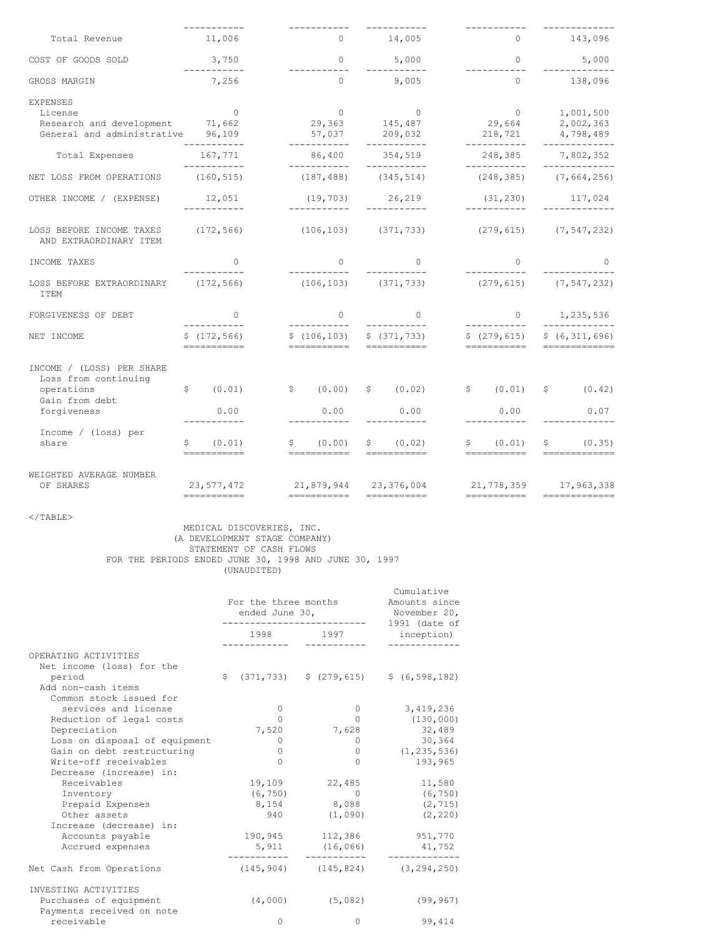|                                                                                                    | -----------                              | -----------                          | -----------                                                                             | -----------                              | -------------                                        |  |
|----------------------------------------------------------------------------------------------------|------------------------------------------|--------------------------------------|-----------------------------------------------------------------------------------------|------------------------------------------|------------------------------------------------------|--|
| Total Revenue                                                                                      | 11,006                                   |                                      | $0 \t 14,005$                                                                           | $\Omega$                                 | 143,096                                              |  |
| COST OF GOODS SOLD                                                                                 | 3,750<br>___________                     | $\overline{0}$<br>___________        | 5,000                                                                                   | $\circ$<br>___________                   | 5,000                                                |  |
| GROSS MARGIN                                                                                       | 7,256                                    | $\Omega$                             | 9,005                                                                                   | $\Omega$                                 | 138,096                                              |  |
| <b>EXPENSES</b><br>License<br>Research and development 71,662<br>General and administrative 96,109 | $\overline{0}$<br>___________            | $\overline{0}$<br>-----------        | $\begin{matrix}0&&&0\\29,363&&&145,487\end{matrix}$<br>57,037 209,032<br>------------   | $0$<br>29,664<br>218,721<br>------------ | 1,001,500<br>2,002,363<br>4,798,489<br>------------- |  |
| Total Expenses                                                                                     | 167,771                                  | 86,400                               | 354,519                                                                                 | 248,385                                  | 7,802,352                                            |  |
| NET LOSS FROM OPERATIONS                                                                           | -----------<br>(160, 515)                | ___________                          | -----------<br>$(187, 488)$ $(345, 514)$                                                | ------------<br>(248, 385)               | -------------<br>(7, 664, 256)                       |  |
| OTHER INCOME / (EXPENSE)                                                                           | 12,051<br>___________                    | (19, 703)<br>------------            | 26,219<br>------------                                                                  | (31, 230)<br>___________                 | 117,024                                              |  |
| LOSS BEFORE INCOME TAXES<br>AND EXTRAORDINARY ITEM                                                 | (172, 566)                               | $(106, 103)$ $(371, 733)$            |                                                                                         | $(279, 615)$ $(7, 547, 232)$             |                                                      |  |
| INCOME TAXES                                                                                       | $\bigcap$<br>-----------                 | $\Omega$<br>-----------              | $\Omega$                                                                                | $\Omega$<br>------------                 | $\Omega$                                             |  |
| LOSS BEFORE EXTRAORDINARY (172,566)<br>ITEM                                                        |                                          |                                      | $(106, 103)$ $(371, 733)$                                                               |                                          | $(279, 615)$ $(7, 547, 232)$                         |  |
| FORGIVENESS OF DEBT                                                                                | $\circ$<br>___________                   | $\Omega$                             | $\circ$                                                                                 | $\circ$<br>___________                   | 1,235,536                                            |  |
| NET INCOME                                                                                         | \$(172, 566)<br>-----------              | ___________<br>===========           | ___________<br>$$(106, 103)$ $$(371, 733)$<br>===========                               | \$(279, 615)<br>===========              | _____________<br>\$ (6, 311, 696)<br>=============   |  |
| INCOME / (LOSS) PER SHARE<br>Loss from continuing<br>operations<br>Gain from debt<br>forgiveness   | \$ (0.01)<br>0.00<br>___________         | \$ (0.00)<br>0.00<br>___________     | \$ (0.02)<br>0.00<br>___________                                                        | $\sqrt{5}$ (0.01)<br>0.00<br>___________ | \$ (0.42)<br>0.07<br>-------------                   |  |
| Income / (loss) per<br>share                                                                       | $\mathsf{S}^-$<br>(0.01)<br>------------ | \$ (0.00)<br>===========             | \$ (0.02)<br>===========                                                                | \$ (0.01)                                | \$ (0.35)<br>=========================               |  |
| WEIGHTED AVERAGE NUMBER<br>OF SHARES                                                               | 23,577,472<br>===========                | 21,879,944 23,376,004<br>=========== | $\qquad \qquad \displaystyle =\qquad \qquad \qquad \displaystyle =\qquad \qquad \qquad$ | ===========                              | 21,778,359 17,963,338                                |  |
|                                                                                                    |                                          |                                      |                                                                                         |                                          |                                                      |  |

 $\langle$ /TABLE $>$ 

# MEDICAL DISCOVERIES, INC. (A DEVELOPMENT STAGE COMPANY) STATEMENT OF CASH FLOWS FOR THE PERIODS ENDED JUNE 30, 1998 AND JUNE 30, 1997 (UNAUDITED)

|                               | For the three months<br>ended June 30, |             |  |                     | Cumulative<br>Amounts since<br>November 20,<br>$1991$ (date of |  |
|-------------------------------|----------------------------------------|-------------|--|---------------------|----------------------------------------------------------------|--|
|                               |                                        | 1998 — 1998 |  | 1997                | inception)                                                     |  |
| OPERATING ACTIVITIES          |                                        |             |  |                     |                                                                |  |
| Net income (loss) for the     |                                        |             |  |                     |                                                                |  |
| period                        | \$                                     |             |  |                     | $(371, 733)$ \$ $(279, 615)$ \$ $(6, 598, 182)$                |  |
| Add non-cash items            |                                        |             |  |                     |                                                                |  |
| Common stock issued for       |                                        |             |  |                     |                                                                |  |
| services and license          |                                        | 0           |  | $\mathbf{0}$        | 3,419,236                                                      |  |
| Reduction of legal costs      |                                        | $\Omega$    |  | $\Omega$            | (130, 000)                                                     |  |
| Depreciation                  |                                        | 7,520       |  | 7,628               | 32,489                                                         |  |
| Loss on disposal of equipment |                                        | 0           |  | $\circ$             | 30,364                                                         |  |
| Gain on debt restructuring    |                                        | 0           |  | $\Omega$            | (1, 235, 536)                                                  |  |
| Write-off receivables         |                                        | $\Omega$    |  | $\Omega$            | 193,965                                                        |  |
| Decrease (increase) in:       |                                        |             |  |                     |                                                                |  |
| Receivables                   |                                        | 19,109      |  | 22,485              | 11,580                                                         |  |
| Inventory                     |                                        | (6, 750)    |  | $\sim$ 0            | (6, 750)                                                       |  |
| Prepaid Expenses              |                                        | 8,154       |  | 8,088               | (2, 715)                                                       |  |
| Other assets                  |                                        | 940         |  | (1,090)             | (2, 220)                                                       |  |
| Increase (decrease) in:       |                                        |             |  |                     |                                                                |  |
| Accounts payable              |                                        |             |  | 190,945 112,386     | 951,770                                                        |  |
| Accrued expenses              |                                        |             |  | 5,911 (16,066)      | 41,752                                                         |  |
| Net Cash from Operations      |                                        |             |  |                     | $(145, 904)$ $(145, 824)$ $(3, 294, 250)$                      |  |
| INVESTING ACTIVITIES          |                                        |             |  |                     |                                                                |  |
| Purchases of equipment        |                                        |             |  | $(4,000)$ $(5,082)$ | (99, 967)                                                      |  |
| Payments received on note     |                                        |             |  |                     |                                                                |  |
| receivable                    |                                        | $\Omega$    |  | $\Omega$            | 99,414                                                         |  |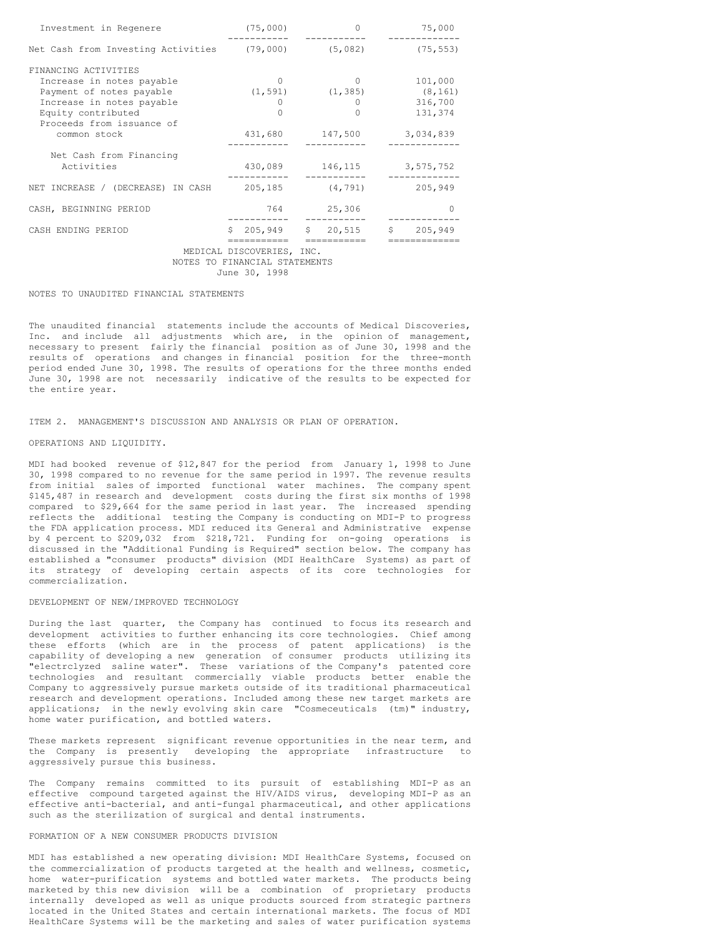| Investment in Regenere                | (75,000)                      |                         | 75,000    |  |  |  |
|---------------------------------------|-------------------------------|-------------------------|-----------|--|--|--|
| Net Cash from Investing Activities    |                               | $(79,000)$ (5,082)      | (75, 553) |  |  |  |
| FINANCING ACTIVITIES                  |                               |                         |           |  |  |  |
| Increase in notes payable             | $\Omega$                      | $\Omega$                |           |  |  |  |
| Payment of notes payable              |                               | $(1, 591)$ $(1, 385)$   | (8, 161)  |  |  |  |
| Increase in notes payable             | 0                             | $\Omega$                | 316,700   |  |  |  |
| Equity contributed                    | $\Omega$                      | O                       | 131,374   |  |  |  |
| Proceeds from issuance of             |                               |                         |           |  |  |  |
| common stock                          | 431,680                       | 147,500                 | 3,034,839 |  |  |  |
|                                       |                               |                         |           |  |  |  |
| Net Cash from Financing<br>Activities | 430,089                       |                         |           |  |  |  |
|                                       |                               | 146,115                 | 3,575,752 |  |  |  |
| NET INCREASE / (DECREASE) IN CASH     |                               | (4,791) 205,185 (4,791) | 205,949   |  |  |  |
| CASH, BEGINNING PERIOD                | 764                           | 25,306                  | $\Omega$  |  |  |  |
| CASH ENDING PERIOD                    |                               | $$205,949$ $$20,515$    | \$205,949 |  |  |  |
|                                       | ----------                    |                         |           |  |  |  |
|                                       | MEDICAL DISCOVERIES, INC.     |                         |           |  |  |  |
|                                       | NOTES TO FINANCIAL STATEMENTS |                         |           |  |  |  |
| June 30, 1998                         |                               |                         |           |  |  |  |

# NOTES TO UNAUDITED FINANCIAL STATEMENTS

The unaudited financial statements include the accounts of Medical Discoveries, Inc. and include all adjustments which are, in the opinion of management, necessary to present fairly the financial position as of June 30, 1998 and the results of operations and changes in financial position for the three-month period ended June 30, 1998. The results of operations for the three months ended June 30, 1998 are not necessarily indicative of the results to be expected for the entire year.

ITEM 2. MANAGEMENT'S DISCUSSION AND ANALYSIS OR PLAN OF OPERATION.

#### OPERATIONS AND LIQUIDITY.

MDI had booked revenue of \$12,847 for the period from January 1, 1998 to June 30, 1998 compared to no revenue for the same period in 1997. The revenue results from initial sales of imported functional water machines. The company spent \$145,487 in research and development costs during the first six months of 1998 compared to \$29,664 for the same period in last year. The increased spending reflects the additional testing the Company is conducting on MDI-P to progress the FDA application process. MDI reduced its General and Administrative expense by 4 percent to \$209,032 from \$218,721. Funding for on-going operations is discussed in the "Additional Funding is Required" section below. The company has established a "consumer products" division (MDI HealthCare Systems) as part of its strategy of developing certain aspects of its core technologies for commercialization.

# DEVELOPMENT OF NEW/IMPROVED TECHNOLOGY

During the last quarter, the Company has continued to focus its research and development activities to further enhancing its core technologies. Chief among these efforts (which are in the process of patent applications) is the capability of developing a new generation of consumer products utilizing its "e1ectrclyzed saline water". These variations of the Company's patented core technologies and resultant commercially viable products better enable the Company to aggressively pursue markets outside of its traditional pharmaceutical research and development operations. Included among these new target markets are applications; in the newly evolving skin care "Cosmeceuticals (tm)" industry, home water purification, and bottled waters.

These markets represent significant revenue opportunities in the near term, and the Company is presently developing the appropriate infrastructure to aggressively pursue this business.

The Company remains committed to its pursuit of establishing MDI-P as an effective compound targeted against the HIV/AIDS virus, developing MDI-P as an effective anti-bacterial, and anti-fungal pharmaceutical, and other applications such as the sterilization of surgical and dental instruments.

# FORMATION OF A NEW CONSUMER PRODUCTS DIVISION

MDI has established a new operating division: MDI HealthCare Systems, focused on the commercialization of products targeted at the health and wellness, cosmetic, home water-purification systems and bottled water markets. The products being marketed by this new division will be a combination of proprietary products internally developed as well as unique products sourced from strategic partners located in the United States and certain international markets. The focus of MDI HealthCare Systems will be the marketing and sales of water purification systems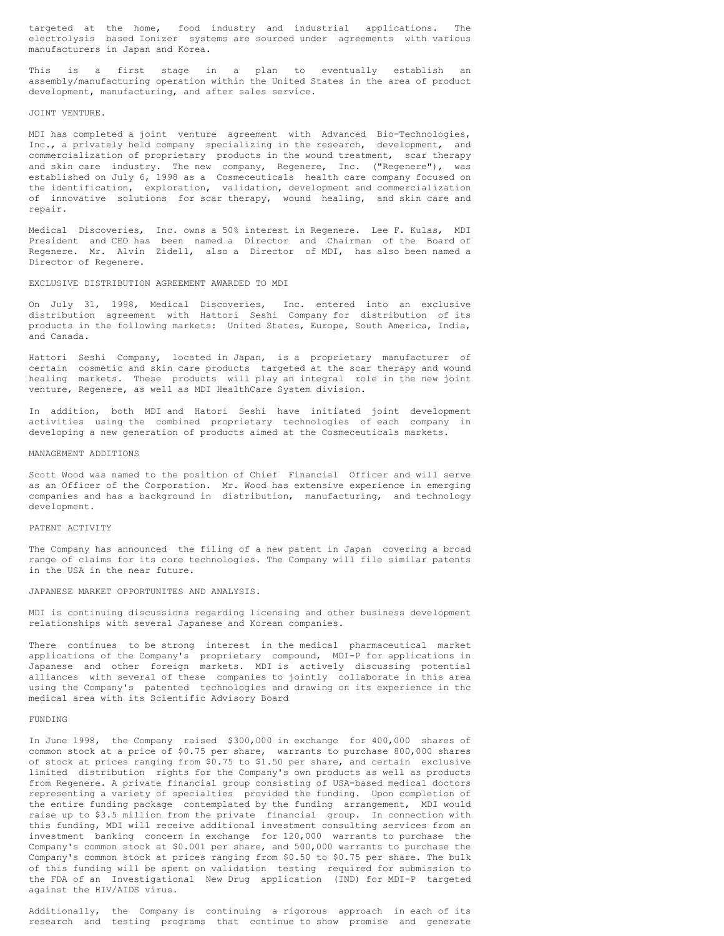targeted at the home, food industry and industrial applications. electrolysis based Ionizer systems are sourced under agreements with various manufacturers in Japan and Korea.

This is a first stage in a plan to eventually establish an assembly/manufacturing operation within the United States in the area of product development, manufacturing, and after sales service.

### JOINT VENTURE.

MDI has completed a joint venture agreement with Advanced Bio-Technologies, Inc., a privately held company specializing in the research, development, and commercialization of proprietary products in the wound treatment, scar therapy and skin care industry. The new company, Regenere, Inc. ("Regenere"), was established on July 6, 1998 as a Cosmeceuticals health care company focused on the identification, exploration, validation, development and commercialization of innovative solutions for scar therapy, wound healing, and skin care and repair.

Medical Discoveries, Inc. owns a 50% interest in Regenere. Lee F. Kulas, MDI President and CEO has been named a Director and Chairman of the Board of Regenere. Mr. Alvin Zidell, also a Director of MDI, has also been named a Director of Regenere.

#### EXCLUSIVE DISTRIBUTION AGREEMENT AWARDED TO MDI

On July 31, 1998, Medical Discoveries, Inc. entered into an exclusive distribution agreement with Hattori Seshi Company for distribution of its products in the following markets: United States, Europe, South America, India, and Canada.

Hattori Seshi Company, located in Japan, is a proprietary manufacturer of certain cosmetic and skin care products targeted at the scar therapy and wound healing markets. These products will play an integral role in the new joint venture, Regenere, as well as MDI HealthCare System division.

In addition, both MDI and Hatori Seshi have initiated joint development activities using the combined proprietary technologies of each company in developing a new generation of products aimed at the Cosmeceuticals markets.

### MANAGEMENT ADDITIONS

Scott Wood was named to the position of Chief Financial Officer and will serve as an Officer of the Corporation. Mr. Wood has extensive experience in emerging companies and has a background in distribution, manufacturing, and technology development.

# PATENT ACTIVITY

The Company has announced the filing of a new patent in Japan covering a broad range of claims for its core technologies. The Company will file similar patents in the USA in the near future.

#### JAPANESE MARKET OPPORTUNITES AND ANALYSIS.

MDI is continuing discussions regarding licensing and other business development relationships with several Japanese and Korean companies.

There continues to be strong interest in the medical pharmaceutical market applications of the Company's proprietary compound, MDI-P for applications in Japanese and other foreign markets. MDI is actively discussing potential alliances with several of these companies to jointly collaborate in this area using the Company's patented technologies and drawing on its experience in thc medical area with its Scientific Advisory Board

# FUNDING

In June 1998, the Company raised \$300,000 in exchange for 400,000 shares of common stock at a price of \$0.75 per share, warrants to purchase 800,000 shares of stock at prices ranging from \$0.75 to \$1.50 per share, and certain exclusive limited distribution rights for the Company's own products as well as products from Regenere. A private financial group consisting of USA-based medical doctors representing a variety of specialties provided the funding. Upon completion of the entire funding package contemplated by the funding arrangement, MDI would raise up to \$3.5 million from the private financial group. In connection with this funding, MDI will receive additional investment consulting services from an investment banking concern in exchange for 120,000 warrants to purchase the Company's common stock at \$0.001 per share, and 500,000 warrants to purchase the Company's common stock at prices ranging from \$0.50 to \$0.75 per share. The bulk of this funding will be spent on validation testing required for submission to the FDA of an Investigational New Drug application (IND) for MDI-P targeted against the HIV/AIDS virus.

Additionally, the Company is continuing a rigorous approach in each of its research and testing programs that continue to show promise and generate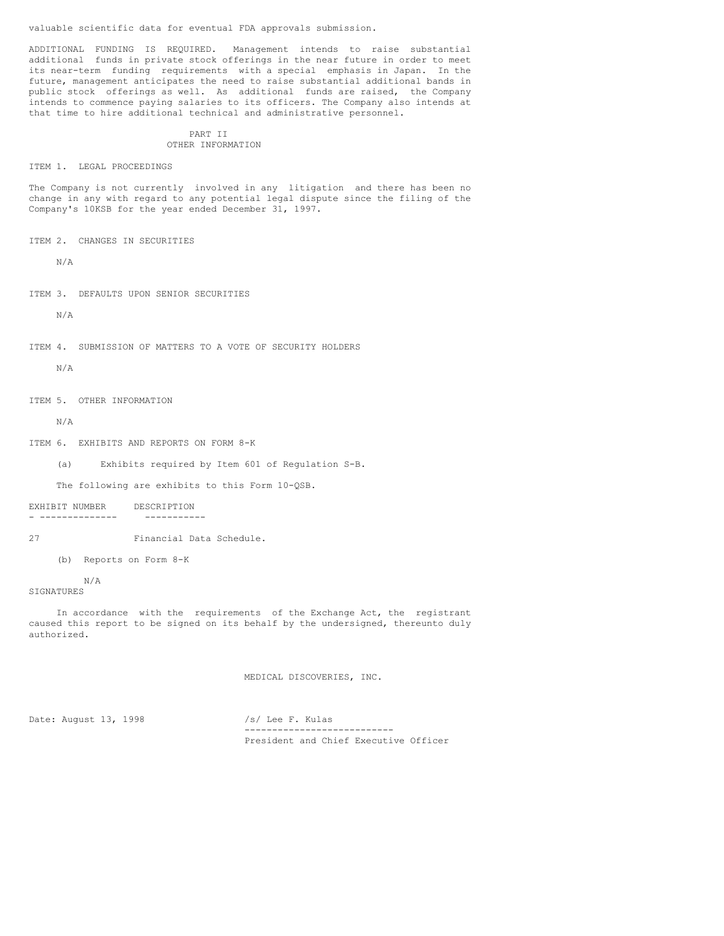valuable scientific data for eventual FDA approvals submission.

ADDITIONAL FUNDING IS REQUIRED. Management intends to raise substantial additional funds in private stock offerings in the near future in order to meet its near-term funding requirements with a special emphasis in Japan. In the future, management anticipates the need to raise substantial additional bands in public stock offerings as well. As additional funds are raised, the Company intends to commence paying salaries to its officers. The Company also intends at that time to hire additional technical and administrative personnel.

# PART II OTHER INFORMATION

ITEM 1. LEGAL PROCEEDINGS

The Company is not currently involved in any litigation and there has been no change in any with regard to any potential legal dispute since the filing of the Company's 10KSB for the year ended December 31, 1997.

ITEM 2. CHANGES IN SECURITIES

N/A

ITEM 3. DEFAULTS UPON SENIOR SECURITIES

N/A

ITEM 4. SUBMISSION OF MATTERS TO A VOTE OF SECURITY HOLDERS

N/A

ITEM 5. OTHER INFORMATION

N/A

ITEM 6. EXHIBITS AND REPORTS ON FORM 8-K

(a) Exhibits required by Item 601 of Regulation S-B.

The following are exhibits to this Form 10-QSB.

EXHIBIT NUMBER DESCRIPTION - -------------- -----------

27 Financial Data Schedule.

(b) Reports on Form 8-K

N/A

SIGNATURES

In accordance with the requirements of the Exchange Act, the registrant caused this report to be signed on its behalf by the undersigned, thereunto duly authorized.

MEDICAL DISCOVERIES, INC.

Date: August 13, 1998 /s/ Lee F. Kulas

--------------------------- President and Chief Executive Officer